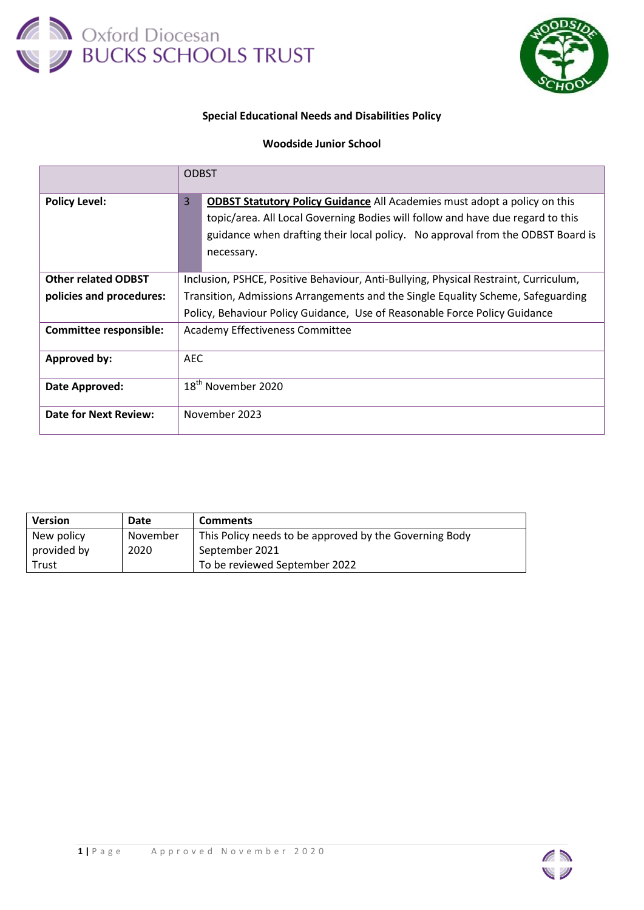



## **Special Educational Needs and Disabilities Policy**

## **Woodside Junior School**

|                               | <b>ODBST</b>                                                                                                                                                                                                                                                            |  |  |
|-------------------------------|-------------------------------------------------------------------------------------------------------------------------------------------------------------------------------------------------------------------------------------------------------------------------|--|--|
| <b>Policy Level:</b>          | <b>ODBST Statutory Policy Guidance All Academies must adopt a policy on this</b><br>3<br>topic/area. All Local Governing Bodies will follow and have due regard to this<br>guidance when drafting their local policy. No approval from the ODBST Board is<br>necessary. |  |  |
| <b>Other related ODBST</b>    | Inclusion, PSHCE, Positive Behaviour, Anti-Bullying, Physical Restraint, Curriculum,                                                                                                                                                                                    |  |  |
| policies and procedures:      | Transition, Admissions Arrangements and the Single Equality Scheme, Safeguarding                                                                                                                                                                                        |  |  |
|                               | Policy, Behaviour Policy Guidance, Use of Reasonable Force Policy Guidance                                                                                                                                                                                              |  |  |
| <b>Committee responsible:</b> | Academy Effectiveness Committee                                                                                                                                                                                                                                         |  |  |
| <b>Approved by:</b>           | <b>AEC</b>                                                                                                                                                                                                                                                              |  |  |
| Date Approved:                | 18 <sup>th</sup> November 2020                                                                                                                                                                                                                                          |  |  |
| Date for Next Review:         | November 2023                                                                                                                                                                                                                                                           |  |  |

| <b>Version</b> | Date     | <b>Comments</b>                                        |
|----------------|----------|--------------------------------------------------------|
| New policy     | November | This Policy needs to be approved by the Governing Body |
| provided by    | 2020     | September 2021                                         |
| Trust          |          | To be reviewed September 2022                          |

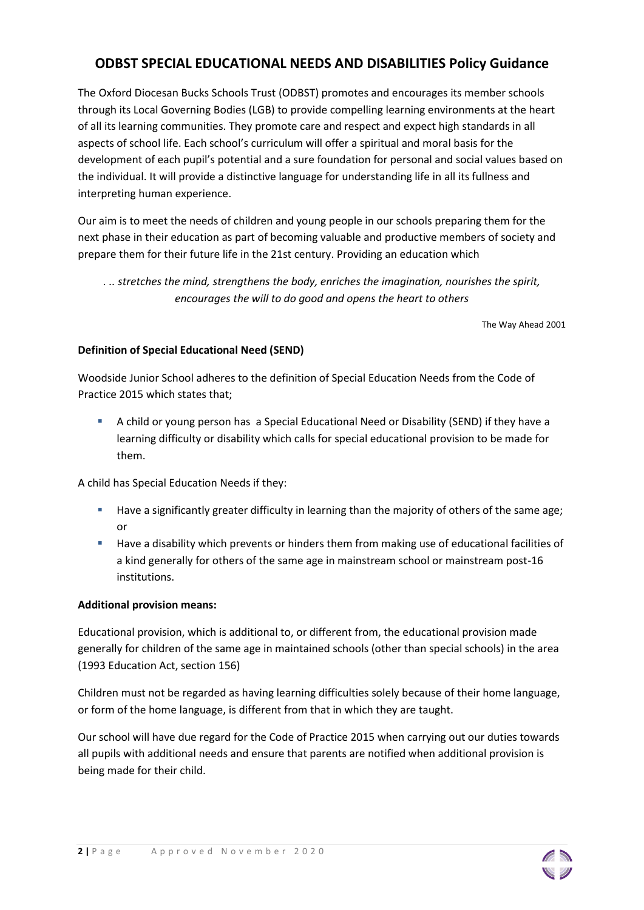# **ODBST SPECIAL EDUCATIONAL NEEDS AND DISABILITIES Policy Guidance**

The Oxford Diocesan Bucks Schools Trust (ODBST) promotes and encourages its member schools through its Local Governing Bodies (LGB) to provide compelling learning environments at the heart of all its learning communities. They promote care and respect and expect high standards in all aspects of school life. Each school's curriculum will offer a spiritual and moral basis for the development of each pupil's potential and a sure foundation for personal and social values based on the individual. It will provide a distinctive language for understanding life in all its fullness and interpreting human experience.

Our aim is to meet the needs of children and young people in our schools preparing them for the next phase in their education as part of becoming valuable and productive members of society and prepare them for their future life in the 21st century. Providing an education which

*. .. stretches the mind, strengthens the body, enriches the imagination, nourishes the spirit, encourages the will to do good and opens the heart to others*

The Way Ahead 2001

## **Definition of Special Educational Need (SEND)**

Woodside Junior School adheres to the definition of Special Education Needs from the Code of Practice 2015 which states that;

 A child or young person has a Special Educational Need or Disability (SEND) if they have a learning difficulty or disability which calls for special educational provision to be made for them.

A child has Special Education Needs if they:

- **Have a significantly greater difficulty in learning than the majority of others of the same age;** or
- **Have a disability which prevents or hinders them from making use of educational facilities of** a kind generally for others of the same age in mainstream school or mainstream post-16 institutions.

## **Additional provision means:**

Educational provision, which is additional to, or different from, the educational provision made generally for children of the same age in maintained schools (other than special schools) in the area (1993 Education Act, section 156)

Children must not be regarded as having learning difficulties solely because of their home language, or form of the home language, is different from that in which they are taught.

Our school will have due regard for the Code of Practice 2015 when carrying out our duties towards all pupils with additional needs and ensure that parents are notified when additional provision is being made for their child.

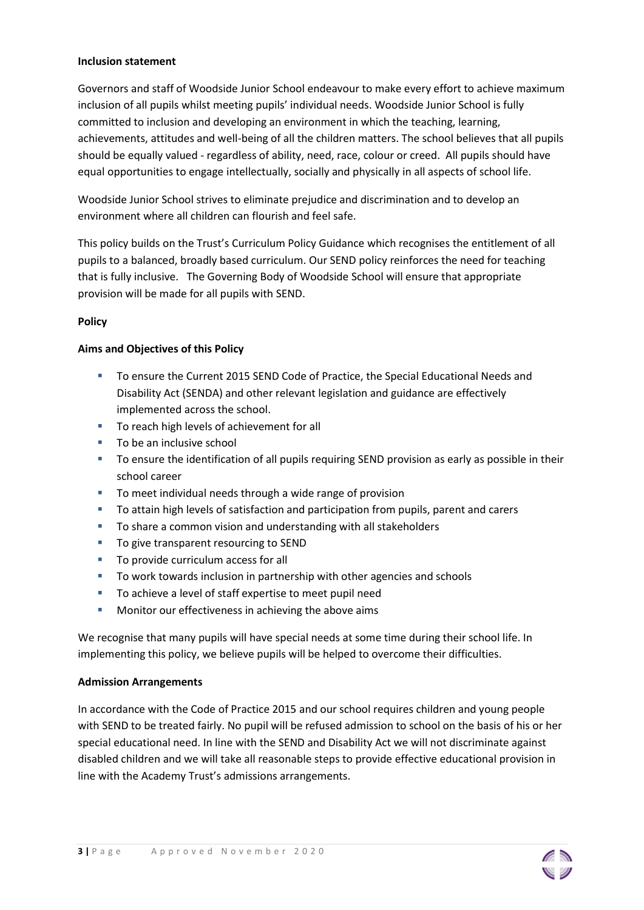## **Inclusion statement**

Governors and staff of Woodside Junior School endeavour to make every effort to achieve maximum inclusion of all pupils whilst meeting pupils' individual needs. Woodside Junior School is fully committed to inclusion and developing an environment in which the teaching, learning, achievements, attitudes and well-being of all the children matters. The school believes that all pupils should be equally valued - regardless of ability, need, race, colour or creed. All pupils should have equal opportunities to engage intellectually, socially and physically in all aspects of school life.

Woodside Junior School strives to eliminate prejudice and discrimination and to develop an environment where all children can flourish and feel safe.

This policy builds on the Trust's Curriculum Policy Guidance which recognises the entitlement of all pupils to a balanced, broadly based curriculum. Our SEND policy reinforces the need for teaching that is fully inclusive. The Governing Body of Woodside School will ensure that appropriate provision will be made for all pupils with SEND.

## **Policy**

## **Aims and Objectives of this Policy**

- To ensure the Current 2015 SEND Code of Practice, the Special Educational Needs and Disability Act (SENDA) and other relevant legislation and guidance are effectively implemented across the school.
- To reach high levels of achievement for all
- To be an inclusive school
- **TO ensure the identification of all pupils requiring SEND provision as early as possible in their** school career
- To meet individual needs through a wide range of provision
- To attain high levels of satisfaction and participation from pupils, parent and carers
- To share a common vision and understanding with all stakeholders
- To give transparent resourcing to SEND
- To provide curriculum access for all
- To work towards inclusion in partnership with other agencies and schools
- To achieve a level of staff expertise to meet pupil need
- **Monitor our effectiveness in achieving the above aims**

We recognise that many pupils will have special needs at some time during their school life. In implementing this policy, we believe pupils will be helped to overcome their difficulties.

## **Admission Arrangements**

In accordance with the Code of Practice 2015 and our school requires children and young people with SEND to be treated fairly. No pupil will be refused admission to school on the basis of his or her special educational need. In line with the SEND and Disability Act we will not discriminate against disabled children and we will take all reasonable steps to provide effective educational provision in line with the Academy Trust's admissions arrangements.

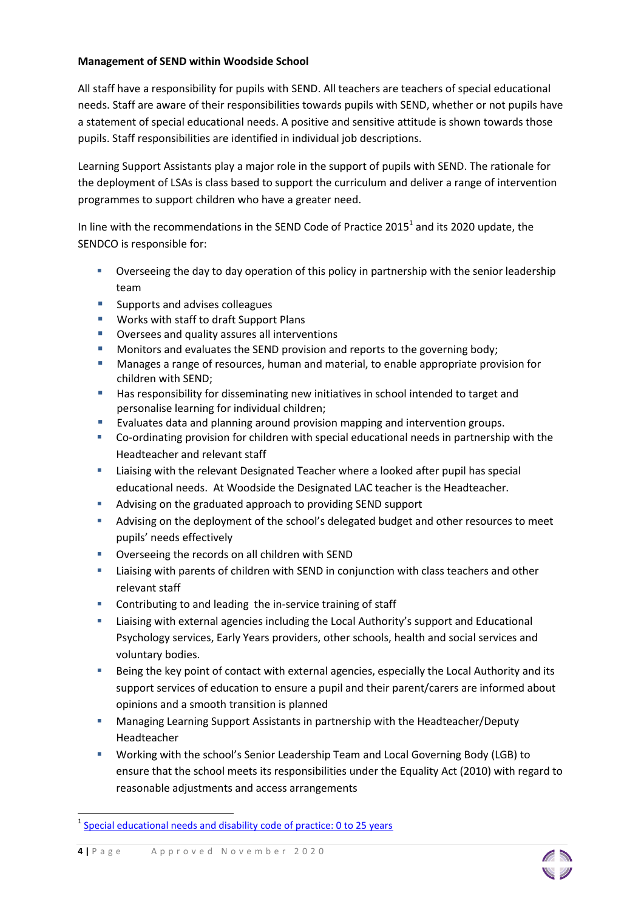## **Management of SEND within Woodside School**

All staff have a responsibility for pupils with SEND. All teachers are teachers of special educational needs. Staff are aware of their responsibilities towards pupils with SEND, whether or not pupils have a statement of special educational needs. A positive and sensitive attitude is shown towards those pupils. Staff responsibilities are identified in individual job descriptions.

Learning Support Assistants play a major role in the support of pupils with SEND. The rationale for the deployment of LSAs is class based to support the curriculum and deliver a range of intervention programmes to support children who have a greater need.

In line with the recommendations in the SEND Code of Practice 2015<sup>1</sup> and its 2020 update, the SENDCO is responsible for:

- Overseeing the day to day operation of this policy in partnership with the senior leadership team
- **Supports and advises colleagues**
- **Works with staff to draft Support Plans**
- Oversees and quality assures all interventions
- **Monitors and evaluates the SEND provision and reports to the governing body;**
- Manages a range of resources, human and material, to enable appropriate provision for children with SEND;
- **Has responsibility for disseminating new initiatives in school intended to target and** personalise learning for individual children;
- **Evaluates data and planning around provision mapping and intervention groups.**
- Co-ordinating provision for children with special educational needs in partnership with the Headteacher and relevant staff
- Liaising with the relevant Designated Teacher where a looked after pupil has special educational needs. At Woodside the Designated LAC teacher is the Headteacher.
- Advising on the graduated approach to providing SEND support
- Advising on the deployment of the school's delegated budget and other resources to meet pupils' needs effectively
- **•** Overseeing the records on all children with SEND
- Liaising with parents of children with SEND in conjunction with class teachers and other relevant staff
- **EXECONTRIGHT CONTRIGHT CONTRIGHTM** Contributing to and leading the in-service training of staff
- Liaising with external agencies including the Local Authority's support and Educational Psychology services, Early Years providers, other schools, health and social services and voluntary bodies.
- Being the key point of contact with external agencies, especially the Local Authority and its support services of education to ensure a pupil and their parent/carers are informed about opinions and a smooth transition is planned
- **Managing Learning Support Assistants in partnership with the Headteacher/Deputy** Headteacher
- Working with the school's Senior Leadership Team and Local Governing Body (LGB) to ensure that the school meets its responsibilities under the Equality Act (2010) with regard to reasonable adjustments and access arrangements

**.** 



<sup>&</sup>lt;sup>1</sup> [Special educational needs and disability code of practice: 0 to 25 years](https://assets.publishing.service.gov.uk/government/uploads/system/uploads/attachment_data/file/398815/SEND_Code_of_Practice_January_2015.pdf)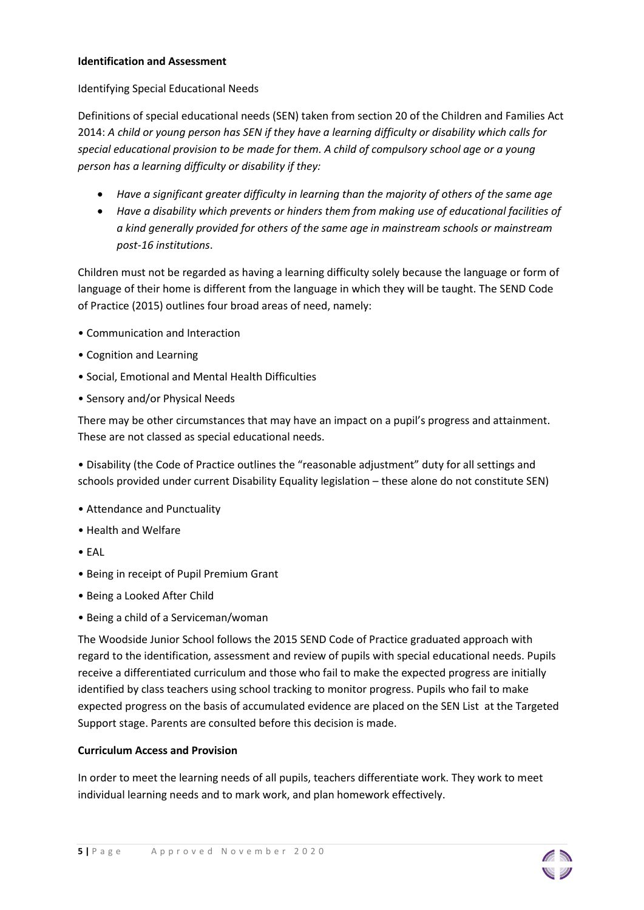## **Identification and Assessment**

## Identifying Special Educational Needs

Definitions of special educational needs (SEN) taken from section 20 of the Children and Families Act 2014: *A child or young person has SEN if they have a learning difficulty or disability which calls for special educational provision to be made for them. A child of compulsory school age or a young person has a learning difficulty or disability if they:* 

- *Have a significant greater difficulty in learning than the majority of others of the same age*
- *Have a disability which prevents or hinders them from making use of educational facilities of a kind generally provided for others of the same age in mainstream schools or mainstream post-16 institutions*.

Children must not be regarded as having a learning difficulty solely because the language or form of language of their home is different from the language in which they will be taught. The SEND Code of Practice (2015) outlines four broad areas of need, namely:

- Communication and Interaction
- Cognition and Learning
- Social, Emotional and Mental Health Difficulties
- Sensory and/or Physical Needs

There may be other circumstances that may have an impact on a pupil's progress and attainment. These are not classed as special educational needs.

• Disability (the Code of Practice outlines the "reasonable adjustment" duty for all settings and schools provided under current Disability Equality legislation – these alone do not constitute SEN)

- Attendance and Punctuality
- Health and Welfare
- EAL
- Being in receipt of Pupil Premium Grant
- Being a Looked After Child
- Being a child of a Serviceman/woman

The Woodside Junior School follows the 2015 SEND Code of Practice graduated approach with regard to the identification, assessment and review of pupils with special educational needs. Pupils receive a differentiated curriculum and those who fail to make the expected progress are initially identified by class teachers using school tracking to monitor progress. Pupils who fail to make expected progress on the basis of accumulated evidence are placed on the SEN List at the Targeted Support stage. Parents are consulted before this decision is made.

## **Curriculum Access and Provision**

In order to meet the learning needs of all pupils, teachers differentiate work. They work to meet individual learning needs and to mark work, and plan homework effectively.

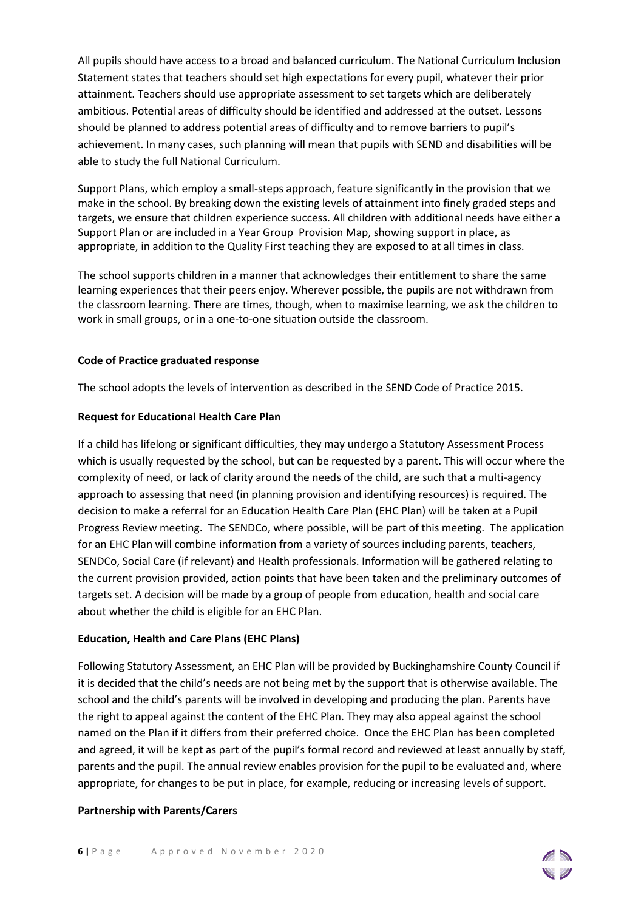All pupils should have access to a broad and balanced curriculum. The National Curriculum Inclusion Statement states that teachers should set high expectations for every pupil, whatever their prior attainment. Teachers should use appropriate assessment to set targets which are deliberately ambitious. Potential areas of difficulty should be identified and addressed at the outset. Lessons should be planned to address potential areas of difficulty and to remove barriers to pupil's achievement. In many cases, such planning will mean that pupils with SEND and disabilities will be able to study the full National Curriculum.

Support Plans, which employ a small-steps approach, feature significantly in the provision that we make in the school. By breaking down the existing levels of attainment into finely graded steps and targets, we ensure that children experience success. All children with additional needs have either a Support Plan or are included in a Year Group Provision Map, showing support in place, as appropriate, in addition to the Quality First teaching they are exposed to at all times in class.

The school supports children in a manner that acknowledges their entitlement to share the same learning experiences that their peers enjoy. Wherever possible, the pupils are not withdrawn from the classroom learning. There are times, though, when to maximise learning, we ask the children to work in small groups, or in a one-to-one situation outside the classroom.

## **Code of Practice graduated response**

The school adopts the levels of intervention as described in the SEND Code of Practice 2015.

## **Request for Educational Health Care Plan**

If a child has lifelong or significant difficulties, they may undergo a Statutory Assessment Process which is usually requested by the school, but can be requested by a parent. This will occur where the complexity of need, or lack of clarity around the needs of the child, are such that a multi-agency approach to assessing that need (in planning provision and identifying resources) is required. The decision to make a referral for an Education Health Care Plan (EHC Plan) will be taken at a Pupil Progress Review meeting. The SENDCo, where possible, will be part of this meeting. The application for an EHC Plan will combine information from a variety of sources including parents, teachers, SENDCo, Social Care (if relevant) and Health professionals. Information will be gathered relating to the current provision provided, action points that have been taken and the preliminary outcomes of targets set. A decision will be made by a group of people from education, health and social care about whether the child is eligible for an EHC Plan.

## **Education, Health and Care Plans (EHC Plans)**

Following Statutory Assessment, an EHC Plan will be provided by Buckinghamshire County Council if it is decided that the child's needs are not being met by the support that is otherwise available. The school and the child's parents will be involved in developing and producing the plan. Parents have the right to appeal against the content of the EHC Plan. They may also appeal against the school named on the Plan if it differs from their preferred choice. Once the EHC Plan has been completed and agreed, it will be kept as part of the pupil's formal record and reviewed at least annually by staff, parents and the pupil. The annual review enables provision for the pupil to be evaluated and, where appropriate, for changes to be put in place, for example, reducing or increasing levels of support.

## **Partnership with Parents/Carers**

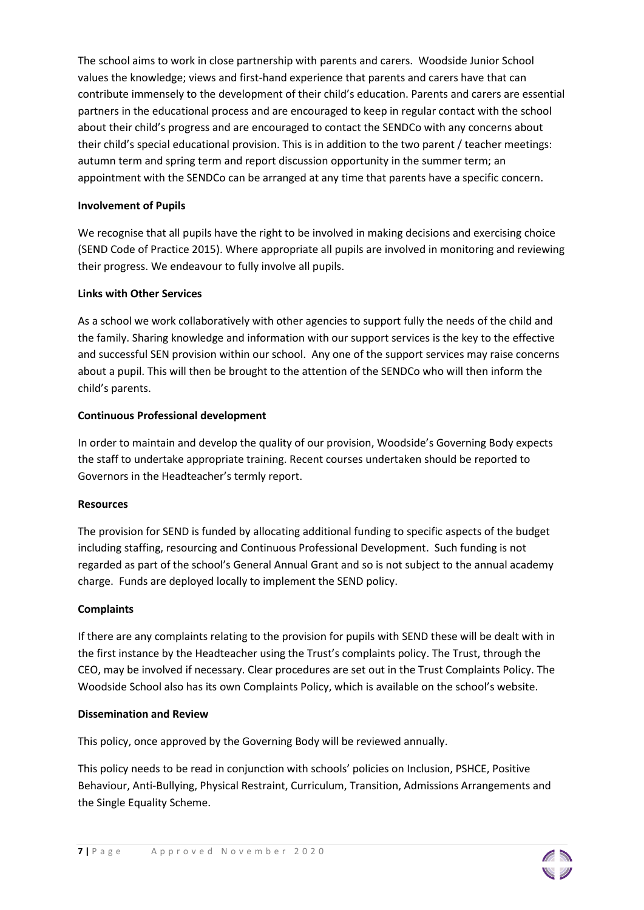The school aims to work in close partnership with parents and carers. Woodside Junior School values the knowledge; views and first-hand experience that parents and carers have that can contribute immensely to the development of their child's education. Parents and carers are essential partners in the educational process and are encouraged to keep in regular contact with the school about their child's progress and are encouraged to contact the SENDCo with any concerns about their child's special educational provision. This is in addition to the two parent / teacher meetings: autumn term and spring term and report discussion opportunity in the summer term; an appointment with the SENDCo can be arranged at any time that parents have a specific concern.

## **Involvement of Pupils**

We recognise that all pupils have the right to be involved in making decisions and exercising choice (SEND Code of Practice 2015). Where appropriate all pupils are involved in monitoring and reviewing their progress. We endeavour to fully involve all pupils.

## **Links with Other Services**

As a school we work collaboratively with other agencies to support fully the needs of the child and the family. Sharing knowledge and information with our support services is the key to the effective and successful SEN provision within our school. Any one of the support services may raise concerns about a pupil. This will then be brought to the attention of the SENDCo who will then inform the child's parents.

## **Continuous Professional development**

In order to maintain and develop the quality of our provision, Woodside's Governing Body expects the staff to undertake appropriate training. Recent courses undertaken should be reported to Governors in the Headteacher's termly report.

## **Resources**

The provision for SEND is funded by allocating additional funding to specific aspects of the budget including staffing, resourcing and Continuous Professional Development. Such funding is not regarded as part of the school's General Annual Grant and so is not subject to the annual academy charge. Funds are deployed locally to implement the SEND policy.

## **Complaints**

If there are any complaints relating to the provision for pupils with SEND these will be dealt with in the first instance by the Headteacher using the Trust's complaints policy. The Trust, through the CEO, may be involved if necessary. Clear procedures are set out in the Trust Complaints Policy. The Woodside School also has its own Complaints Policy, which is available on the school's website.

## **Dissemination and Review**

This policy, once approved by the Governing Body will be reviewed annually.

This policy needs to be read in conjunction with schools' policies on Inclusion, PSHCE, Positive Behaviour, Anti-Bullying, Physical Restraint, Curriculum, Transition, Admissions Arrangements and the Single Equality Scheme.

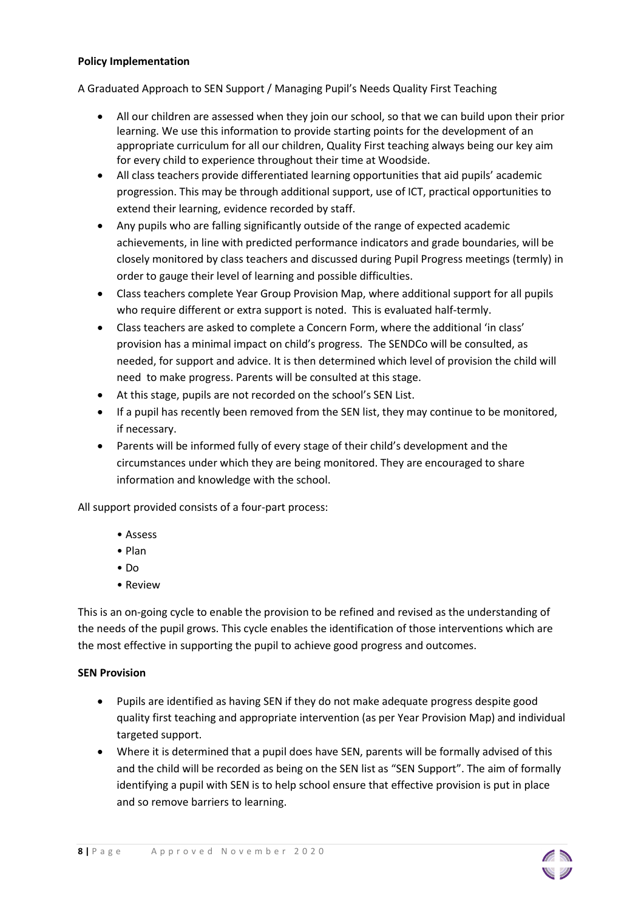## **Policy Implementation**

A Graduated Approach to SEN Support / Managing Pupil's Needs Quality First Teaching

- All our children are assessed when they join our school, so that we can build upon their prior learning. We use this information to provide starting points for the development of an appropriate curriculum for all our children, Quality First teaching always being our key aim for every child to experience throughout their time at Woodside.
- All class teachers provide differentiated learning opportunities that aid pupils' academic progression. This may be through additional support, use of ICT, practical opportunities to extend their learning, evidence recorded by staff.
- Any pupils who are falling significantly outside of the range of expected academic achievements, in line with predicted performance indicators and grade boundaries, will be closely monitored by class teachers and discussed during Pupil Progress meetings (termly) in order to gauge their level of learning and possible difficulties.
- Class teachers complete Year Group Provision Map, where additional support for all pupils who require different or extra support is noted. This is evaluated half-termly.
- Class teachers are asked to complete a Concern Form, where the additional 'in class' provision has a minimal impact on child's progress. The SENDCo will be consulted, as needed, for support and advice. It is then determined which level of provision the child will need to make progress. Parents will be consulted at this stage.
- At this stage, pupils are not recorded on the school's SEN List.
- If a pupil has recently been removed from the SEN list, they may continue to be monitored, if necessary.
- Parents will be informed fully of every stage of their child's development and the circumstances under which they are being monitored. They are encouraged to share information and knowledge with the school.

All support provided consists of a four-part process:

- Assess
- Plan
- Do
- Review

This is an on-going cycle to enable the provision to be refined and revised as the understanding of the needs of the pupil grows. This cycle enables the identification of those interventions which are the most effective in supporting the pupil to achieve good progress and outcomes.

## **SEN Provision**

- Pupils are identified as having SEN if they do not make adequate progress despite good quality first teaching and appropriate intervention (as per Year Provision Map) and individual targeted support.
- Where it is determined that a pupil does have SEN, parents will be formally advised of this and the child will be recorded as being on the SEN list as "SEN Support". The aim of formally identifying a pupil with SEN is to help school ensure that effective provision is put in place and so remove barriers to learning.

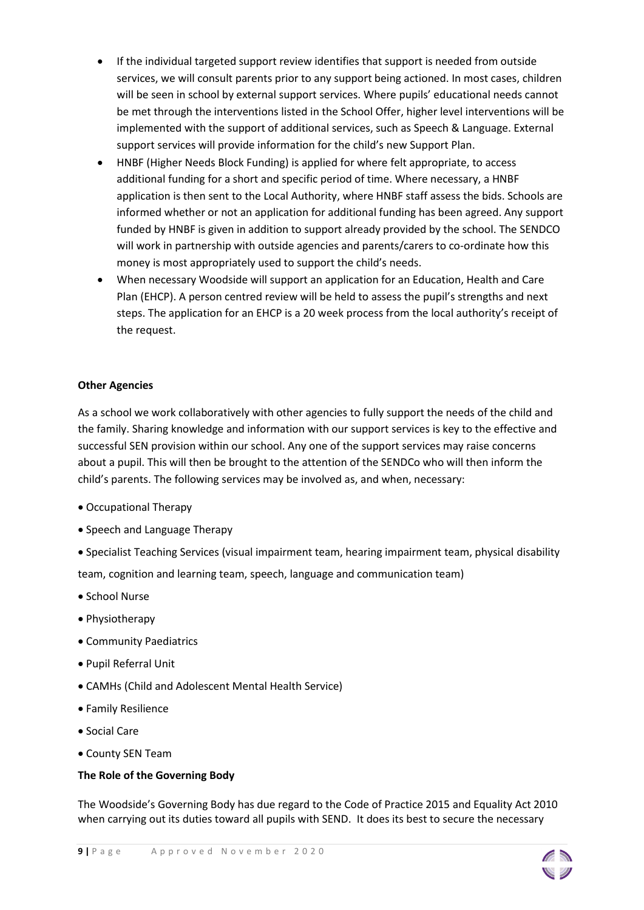- If the individual targeted support review identifies that support is needed from outside services, we will consult parents prior to any support being actioned. In most cases, children will be seen in school by external support services. Where pupils' educational needs cannot be met through the interventions listed in the School Offer, higher level interventions will be implemented with the support of additional services, such as Speech & Language. External support services will provide information for the child's new Support Plan.
- HNBF (Higher Needs Block Funding) is applied for where felt appropriate, to access additional funding for a short and specific period of time. Where necessary, a HNBF application is then sent to the Local Authority, where HNBF staff assess the bids. Schools are informed whether or not an application for additional funding has been agreed. Any support funded by HNBF is given in addition to support already provided by the school. The SENDCO will work in partnership with outside agencies and parents/carers to co-ordinate how this money is most appropriately used to support the child's needs.
- When necessary Woodside will support an application for an Education, Health and Care Plan (EHCP). A person centred review will be held to assess the pupil's strengths and next steps. The application for an EHCP is a 20 week process from the local authority's receipt of the request.

## **Other Agencies**

As a school we work collaboratively with other agencies to fully support the needs of the child and the family. Sharing knowledge and information with our support services is key to the effective and successful SEN provision within our school. Any one of the support services may raise concerns about a pupil. This will then be brought to the attention of the SENDCo who will then inform the child's parents. The following services may be involved as, and when, necessary:

- Occupational Therapy
- Speech and Language Therapy
- Specialist Teaching Services (visual impairment team, hearing impairment team, physical disability team, cognition and learning team, speech, language and communication team)
- School Nurse
- Physiotherapy
- Community Paediatrics
- Pupil Referral Unit
- CAMHs (Child and Adolescent Mental Health Service)
- Family Resilience
- Social Care
- County SEN Team

## **The Role of the Governing Body**

The Woodside's Governing Body has due regard to the Code of Practice 2015 and Equality Act 2010 when carrying out its duties toward all pupils with SEND. It does its best to secure the necessary

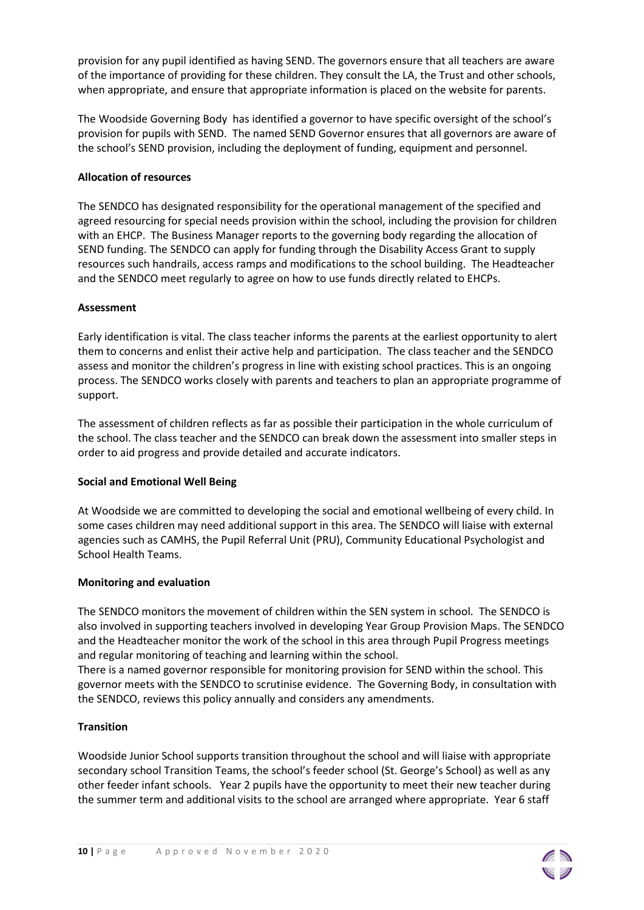provision for any pupil identified as having SEND. The governors ensure that all teachers are aware of the importance of providing for these children. They consult the LA, the Trust and other schools, when appropriate, and ensure that appropriate information is placed on the website for parents.

The Woodside Governing Body has identified a governor to have specific oversight of the school's provision for pupils with SEND. The named SEND Governor ensures that all governors are aware of the school's SEND provision, including the deployment of funding, equipment and personnel.

## **Allocation of resources**

The SENDCO has designated responsibility for the operational management of the specified and agreed resourcing for special needs provision within the school, including the provision for children with an EHCP. The Business Manager reports to the governing body regarding the allocation of SEND funding. The SENDCO can apply for funding through the Disability Access Grant to supply resources such handrails, access ramps and modifications to the school building. The Headteacher and the SENDCO meet regularly to agree on how to use funds directly related to EHCPs.

## **Assessment**

Early identification is vital. The class teacher informs the parents at the earliest opportunity to alert them to concerns and enlist their active help and participation. The class teacher and the SENDCO assess and monitor the children's progress in line with existing school practices. This is an ongoing process. The SENDCO works closely with parents and teachers to plan an appropriate programme of support.

The assessment of children reflects as far as possible their participation in the whole curriculum of the school. The class teacher and the SENDCO can break down the assessment into smaller steps in order to aid progress and provide detailed and accurate indicators.

## **Social and Emotional Well Being**

At Woodside we are committed to developing the social and emotional wellbeing of every child. In some cases children may need additional support in this area. The SENDCO will liaise with external agencies such as CAMHS, the Pupil Referral Unit (PRU), Community Educational Psychologist and School Health Teams.

## **Monitoring and evaluation**

The SENDCO monitors the movement of children within the SEN system in school. The SENDCO is also involved in supporting teachers involved in developing Year Group Provision Maps. The SENDCO and the Headteacher monitor the work of the school in this area through Pupil Progress meetings and regular monitoring of teaching and learning within the school.

There is a named governor responsible for monitoring provision for SEND within the school. This governor meets with the SENDCO to scrutinise evidence. The Governing Body, in consultation with the SENDCO, reviews this policy annually and considers any amendments.

## **Transition**

Woodside Junior School supports transition throughout the school and will liaise with appropriate secondary school Transition Teams, the school's feeder school (St. George's School) as well as any other feeder infant schools. Year 2 pupils have the opportunity to meet their new teacher during the summer term and additional visits to the school are arranged where appropriate. Year 6 staff